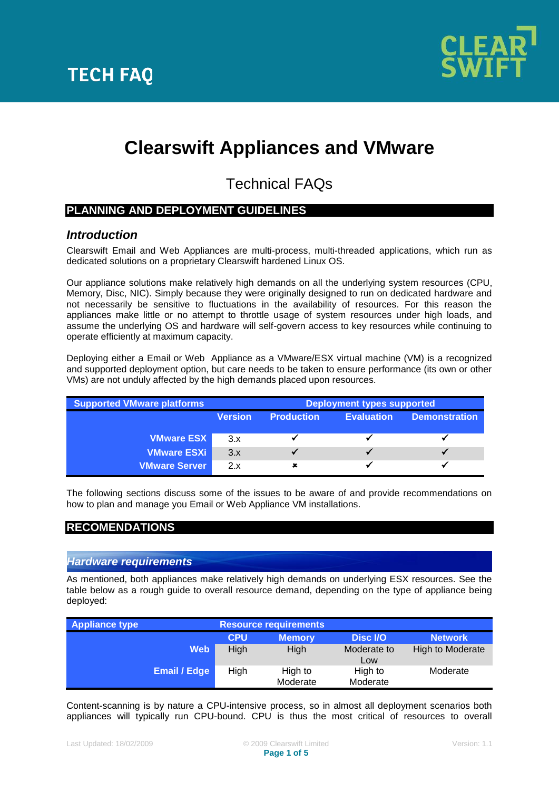

# **Clearswift Appliances and VMware**

Technical FAQs

## **PLANNING AND DEPLOYMENT GUIDELINES**

## *Introduction*

Clearswift Email and Web Appliances are multi-process, multi-threaded applications, which run as dedicated solutions on a proprietary Clearswift hardened Linux OS.

Our appliance solutions make relatively high demands on all the underlying system resources (CPU, Memory, Disc, NIC). Simply because they were originally designed to run on dedicated hardware and not necessarily be sensitive to fluctuations in the availability of resources. For this reason the appliances make little or no attempt to throttle usage of system resources under high loads, and assume the underlying OS and hardware will self-govern access to key resources while continuing to operate efficiently at maximum capacity.

Deploying either a Email or Web Appliance as a VMware/ESX virtual machine (VM) is a recognized and supported deployment option, but care needs to be taken to ensure performance (its own or other VMs) are not unduly affected by the high demands placed upon resources.

| <b>Supported VMware platforms</b> | <b>Deployment types supported</b> |                   |                   |                      |
|-----------------------------------|-----------------------------------|-------------------|-------------------|----------------------|
|                                   | <b>Version</b>                    | <b>Production</b> | <b>Evaluation</b> | <b>Demonstration</b> |
|                                   |                                   |                   |                   |                      |
| <b>VMware ESX</b>                 | 3.x                               |                   |                   |                      |
| <b>VMware ESXi</b>                | 3.x                               |                   |                   |                      |
| <b>VMware Server</b>              | 2.x                               | ×                 |                   |                      |

The following sections discuss some of the issues to be aware of and provide recommendations on how to plan and manage you Email or Web Appliance VM installations.

## **RECOMENDATIONS**

## *Hardware requirements*

As mentioned, both appliances make relatively high demands on underlying ESX resources. See the table below as a rough guide to overall resource demand, depending on the type of appliance being deployed:

| <b>Appliance type</b> | <b>Resource requirements</b> |                     |                     |                  |  |
|-----------------------|------------------------------|---------------------|---------------------|------------------|--|
|                       | <b>CPU</b>                   | <b>Memory</b>       | Disc I/O            | <b>Network</b>   |  |
| <b>Web</b>            | High                         | High                | Moderate to<br>Low  | High to Moderate |  |
| <b>Email / Edge</b>   | High                         | High to<br>Moderate | High to<br>Moderate | Moderate         |  |

Content-scanning is by nature a CPU-intensive process, so in almost all deployment scenarios both appliances will typically run CPU-bound. CPU is thus the most critical of resources to overall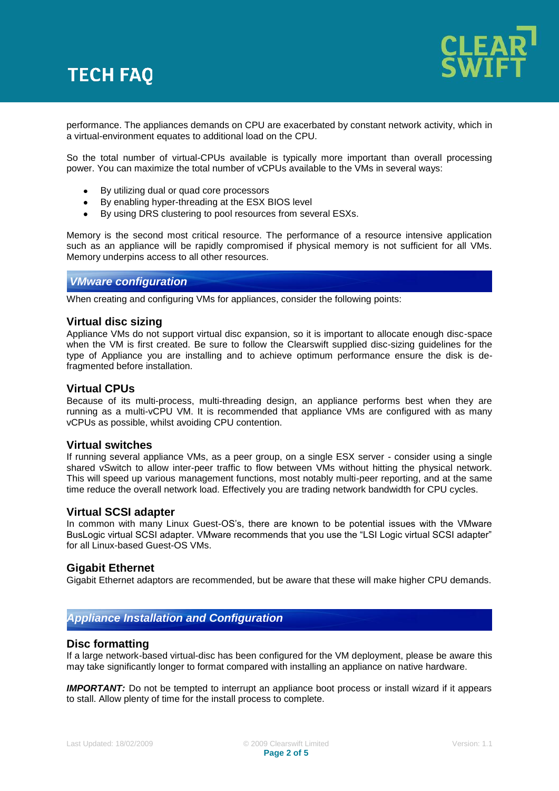# **TECH FAQ**



performance. The appliances demands on CPU are exacerbated by constant network activity, which in a virtual-environment equates to additional load on the CPU.

So the total number of virtual-CPUs available is typically more important than overall processing power. You can maximize the total number of vCPUs available to the VMs in several ways:

- By utilizing dual or quad core processors
- By enabling hyper-threading at the ESX BIOS level
- $\bullet$ By using DRS clustering to pool resources from several ESXs.

Memory is the second most critical resource. The performance of a resource intensive application such as an appliance will be rapidly compromised if physical memory is not sufficient for all VMs. Memory underpins access to all other resources.

### *VMware configuration*

When creating and configuring VMs for appliances, consider the following points:

### **Virtual disc sizing**

Appliance VMs do not support virtual disc expansion, so it is important to allocate enough disc-space when the VM is first created. Be sure to follow the Clearswift supplied disc-sizing guidelines for the type of Appliance you are installing and to achieve optimum performance ensure the disk is defragmented before installation.

### **Virtual CPUs**

Because of its multi-process, multi-threading design, an appliance performs best when they are running as a multi-vCPU VM. It is recommended that appliance VMs are configured with as many vCPUs as possible, whilst avoiding CPU contention.

### **Virtual switches**

If running several appliance VMs, as a peer group, on a single ESX server - consider using a single shared vSwitch to allow inter-peer traffic to flow between VMs without hitting the physical network. This will speed up various management functions, most notably multi-peer reporting, and at the same time reduce the overall network load. Effectively you are trading network bandwidth for CPU cycles.

### **Virtual SCSI adapter**

In common with many Linux Guest-OS"s, there are known to be potential issues with the VMware BusLogic virtual SCSI adapter. VMware recommends that you use the "LSI Logic virtual SCSI adapter" for all Linux-based Guest-OS VMs.

### **Gigabit Ethernet**

Gigabit Ethernet adaptors are recommended, but be aware that these will make higher CPU demands.

## *Appliance Installation and Configuration*

### **Disc formatting**

If a large network-based virtual-disc has been configured for the VM deployment, please be aware this may take significantly longer to format compared with installing an appliance on native hardware.

*IMPORTANT:* Do not be tempted to interrupt an appliance boot process or install wizard if it appears to stall. Allow plenty of time for the install process to complete.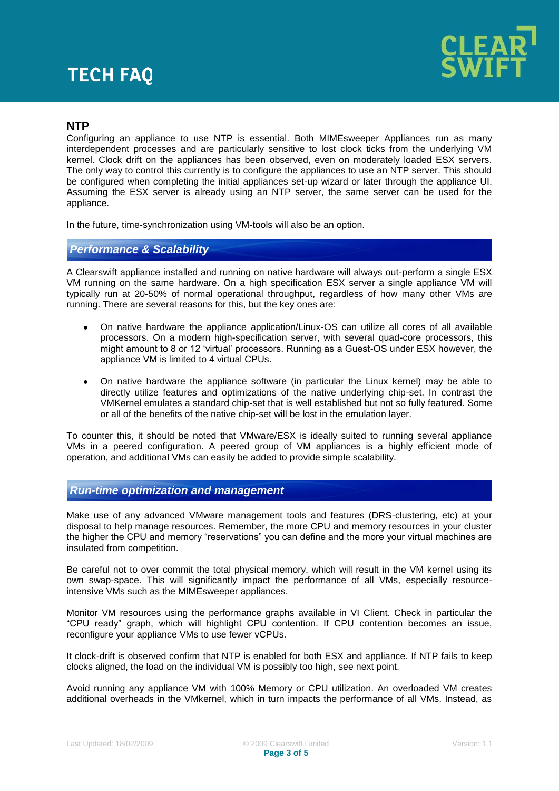# **TECH FAQ**



## **NTP**

Configuring an appliance to use NTP is essential. Both MIMEsweeper Appliances run as many interdependent processes and are particularly sensitive to lost clock ticks from the underlying VM kernel. Clock drift on the appliances has been observed, even on moderately loaded ESX servers. The only way to control this currently is to configure the appliances to use an NTP server. This should be configured when completing the initial appliances set-up wizard or later through the appliance UI. Assuming the ESX server is already using an NTP server, the same server can be used for the appliance.

In the future, time-synchronization using VM-tools will also be an option.

## *Performance & Scalability*

A Clearswift appliance installed and running on native hardware will always out-perform a single ESX VM running on the same hardware. On a high specification ESX server a single appliance VM will typically run at 20-50% of normal operational throughput, regardless of how many other VMs are running. There are several reasons for this, but the key ones are:

- On native hardware the appliance application/Linux-OS can utilize all cores of all available processors. On a modern high-specification server, with several quad-core processors, this might amount to 8 or 12 "virtual" processors. Running as a Guest-OS under ESX however, the appliance VM is limited to 4 virtual CPUs.
- On native hardware the appliance software (in particular the Linux kernel) may be able to directly utilize features and optimizations of the native underlying chip-set. In contrast the VMKernel emulates a standard chip-set that is well established but not so fully featured. Some or all of the benefits of the native chip-set will be lost in the emulation layer.

To counter this, it should be noted that VMware/ESX is ideally suited to running several appliance VMs in a peered configuration. A peered group of VM appliances is a highly efficient mode of operation, and additional VMs can easily be added to provide simple scalability.

## *Run-time optimization and management*

Make use of any advanced VMware management tools and features (DRS-clustering, etc) at your disposal to help manage resources. Remember, the more CPU and memory resources in your cluster the higher the CPU and memory "reservations" you can define and the more your virtual machines are insulated from competition.

Be careful not to over commit the total physical memory, which will result in the VM kernel using its own swap-space. This will significantly impact the performance of all VMs, especially resourceintensive VMs such as the MIMEsweeper appliances.

Monitor VM resources using the performance graphs available in VI Client. Check in particular the "CPU ready" graph, which will highlight CPU contention. If CPU contention becomes an issue, reconfigure your appliance VMs to use fewer vCPUs.

It clock-drift is observed confirm that NTP is enabled for both ESX and appliance. If NTP fails to keep clocks aligned, the load on the individual VM is possibly too high, see next point.

Avoid running any appliance VM with 100% Memory or CPU utilization. An overloaded VM creates additional overheads in the VMkernel, which in turn impacts the performance of all VMs. Instead, as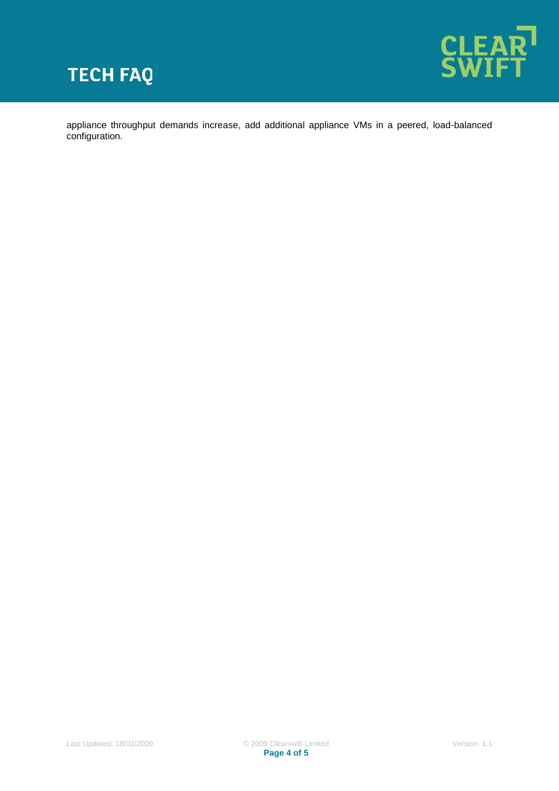



appliance throughput demands increase, add additional appliance VMs in a peered, load-balanced configuration.